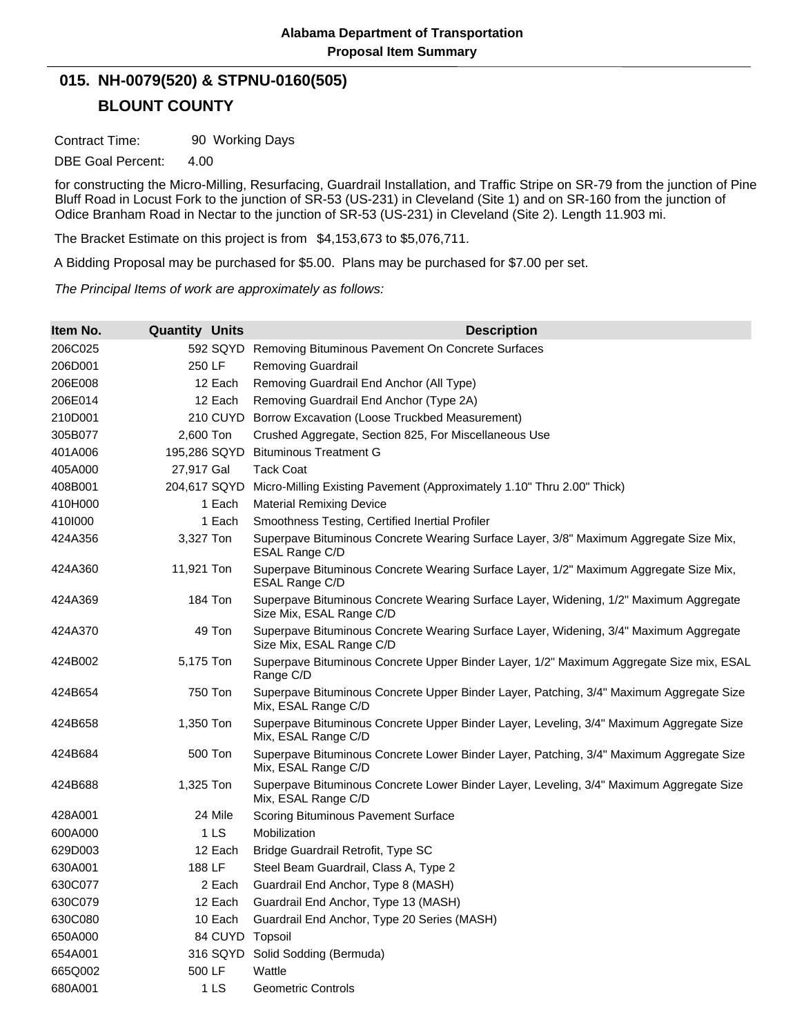## **BLOUNT COUNTY 015. NH-0079(520) & STPNU-0160(505)**

Contract Time: 90 Working Days

DBE Goal Percent: 4.00

for constructing the Micro-Milling, Resurfacing, Guardrail Installation, and Traffic Stripe on SR-79 from the junction of Pine Bluff Road in Locust Fork to the junction of SR-53 (US-231) in Cleveland (Site 1) and on SR-160 from the junction of Odice Branham Road in Nectar to the junction of SR-53 (US-231) in Cleveland (Site 2). Length 11.903 mi.

The Bracket Estimate on this project is from \$4,153,673 to \$5,076,711.

A Bidding Proposal may be purchased for \$5.00. Plans may be purchased for \$7.00 per set.

*The Principal Items of work are approximately as follows:*

| Item No. | <b>Quantity Units</b> | <b>Description</b>                                                                                                |
|----------|-----------------------|-------------------------------------------------------------------------------------------------------------------|
| 206C025  | 592 SQYD              | Removing Bituminous Pavement On Concrete Surfaces                                                                 |
| 206D001  | 250 LF                | <b>Removing Guardrail</b>                                                                                         |
| 206E008  | 12 Each               | Removing Guardrail End Anchor (All Type)                                                                          |
| 206E014  | 12 Each               | Removing Guardrail End Anchor (Type 2A)                                                                           |
| 210D001  | 210 CUYD              | Borrow Excavation (Loose Truckbed Measurement)                                                                    |
| 305B077  | 2,600 Ton             | Crushed Aggregate, Section 825, For Miscellaneous Use                                                             |
| 401A006  | 195,286 SQYD          | <b>Bituminous Treatment G</b>                                                                                     |
| 405A000  | 27,917 Gal            | <b>Tack Coat</b>                                                                                                  |
| 408B001  | 204,617 SQYD          | Micro-Milling Existing Pavement (Approximately 1.10" Thru 2.00" Thick)                                            |
| 410H000  | 1 Each                | <b>Material Remixing Device</b>                                                                                   |
| 4101000  | 1 Each                | Smoothness Testing, Certified Inertial Profiler                                                                   |
| 424A356  | 3,327 Ton             | Superpave Bituminous Concrete Wearing Surface Layer, 3/8" Maximum Aggregate Size Mix,<br>ESAL Range C/D           |
| 424A360  | 11,921 Ton            | Superpave Bituminous Concrete Wearing Surface Layer, 1/2" Maximum Aggregate Size Mix,<br>ESAL Range C/D           |
| 424A369  | 184 Ton               | Superpave Bituminous Concrete Wearing Surface Layer, Widening, 1/2" Maximum Aggregate<br>Size Mix, ESAL Range C/D |
| 424A370  | 49 Ton                | Superpave Bituminous Concrete Wearing Surface Layer, Widening, 3/4" Maximum Aggregate<br>Size Mix, ESAL Range C/D |
| 424B002  | 5,175 Ton             | Superpave Bituminous Concrete Upper Binder Layer, 1/2" Maximum Aggregate Size mix, ESAL<br>Range C/D              |
| 424B654  | 750 Ton               | Superpave Bituminous Concrete Upper Binder Layer, Patching, 3/4" Maximum Aggregate Size<br>Mix, ESAL Range C/D    |
| 424B658  | 1,350 Ton             | Superpave Bituminous Concrete Upper Binder Layer, Leveling, 3/4" Maximum Aggregate Size<br>Mix, ESAL Range C/D    |
| 424B684  | 500 Ton               | Superpave Bituminous Concrete Lower Binder Layer, Patching, 3/4" Maximum Aggregate Size<br>Mix, ESAL Range C/D    |
| 424B688  | 1,325 Ton             | Superpave Bituminous Concrete Lower Binder Layer, Leveling, 3/4" Maximum Aggregate Size<br>Mix, ESAL Range C/D    |
| 428A001  | 24 Mile               | Scoring Bituminous Pavement Surface                                                                               |
| 600A000  | 1 <sub>LS</sub>       | Mobilization                                                                                                      |
| 629D003  | 12 Each               | Bridge Guardrail Retrofit, Type SC                                                                                |
| 630A001  | 188 LF                | Steel Beam Guardrail, Class A, Type 2                                                                             |
| 630C077  | 2 Each                | Guardrail End Anchor, Type 8 (MASH)                                                                               |
| 630C079  | 12 Each               | Guardrail End Anchor, Type 13 (MASH)                                                                              |
| 630C080  | 10 Each               | Guardrail End Anchor, Type 20 Series (MASH)                                                                       |
| 650A000  | 84 CUYD Topsoil       |                                                                                                                   |
| 654A001  | 316 SQYD              | Solid Sodding (Bermuda)                                                                                           |
| 665Q002  | 500 LF                | Wattle                                                                                                            |
| 680A001  | 1 <sub>LS</sub>       | Geometric Controls                                                                                                |